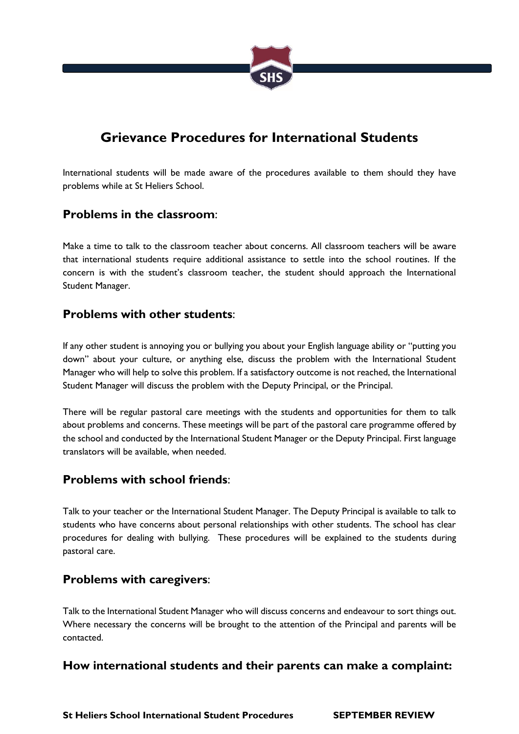

# **Grievance Procedures for International Students**

International students will be made aware of the procedures available to them should they have problems while at St Heliers School.

### **Problems in the classroom**:

Make a time to talk to the classroom teacher about concerns. All classroom teachers will be aware that international students require additional assistance to settle into the school routines. If the concern is with the student's classroom teacher, the student should approach the International Student Manager.

### **Problems with other students**:

If any other student is annoying you or bullying you about your English language ability or "putting you down" about your culture, or anything else, discuss the problem with the International Student Manager who will help to solve this problem. If a satisfactory outcome is not reached, the International Student Manager will discuss the problem with the Deputy Principal, or the Principal.

There will be regular pastoral care meetings with the students and opportunities for them to talk about problems and concerns. These meetings will be part of the pastoral care programme offered by the school and conducted by the International Student Manager or the Deputy Principal. First language translators will be available, when needed.

# **Problems with school friends**:

Talk to your teacher or the International Student Manager. The Deputy Principal is available to talk to students who have concerns about personal relationships with other students. The school has clear procedures for dealing with bullying. These procedures will be explained to the students during pastoral care.

# **Problems with caregivers**:

Talk to the International Student Manager who will discuss concerns and endeavour to sort things out. Where necessary the concerns will be brought to the attention of the Principal and parents will be contacted.

# **How international students and their parents can make a complaint:**

**St Heliers School International Student Procedures SEPTEMBER REVIEW**